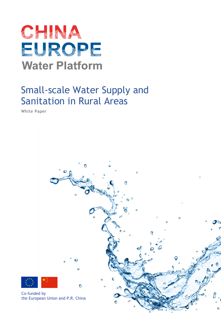

# Small-scale Water Supply and Sanitation in Rural Areas

White Paper

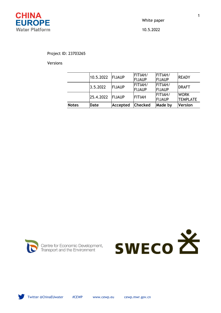

White paper 10.5.2022

# Project ID: 23703265

Versions

| <b>Notes</b> | Date      | Accepted       | <b>Checked</b>           | Made by                         | <b>Version</b>                 |
|--------------|-----------|----------------|--------------------------|---------------------------------|--------------------------------|
|              | 25.4.2022 | <b>IFIJAUP</b> | <b>FITIAH</b>            | <b>FITIAH/</b><br><b>FIJAUP</b> | <b>WORK</b><br><b>TEMPLATE</b> |
|              | 3.5.2022  | <b>FIJAUP</b>  | <b>FITIAH/</b><br>FIJAUP | <b>FITIAH/</b><br>FIJAUP        | <b>IDRAFT</b>                  |
|              | 10.5.2022 | <b>FIJAUP</b>  | <b>FITIAH/</b><br>FIJAUP | <b>FITIAH/</b><br><b>FIJAUP</b> | <b>READY</b>                   |



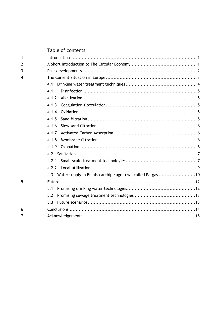# Table of contents

| 1 |                                                                  |  |  |  |  |  |
|---|------------------------------------------------------------------|--|--|--|--|--|
| 2 |                                                                  |  |  |  |  |  |
| 3 |                                                                  |  |  |  |  |  |
| 4 |                                                                  |  |  |  |  |  |
|   | 4.1                                                              |  |  |  |  |  |
|   | 4.1.1                                                            |  |  |  |  |  |
|   | 4.1.2                                                            |  |  |  |  |  |
|   | 4.1.3                                                            |  |  |  |  |  |
|   | 4.1.4                                                            |  |  |  |  |  |
|   | 4.1.5                                                            |  |  |  |  |  |
|   | 4.1.6                                                            |  |  |  |  |  |
|   | 4.1.7                                                            |  |  |  |  |  |
|   | 4.1.8                                                            |  |  |  |  |  |
|   | 4.1.9                                                            |  |  |  |  |  |
|   | 4.2                                                              |  |  |  |  |  |
|   | 4.2.1                                                            |  |  |  |  |  |
|   | 4.2.2                                                            |  |  |  |  |  |
|   | Water supply in Finnish archipelago town called Pargas 10<br>4.3 |  |  |  |  |  |
| 5 |                                                                  |  |  |  |  |  |
|   | 5.1                                                              |  |  |  |  |  |
|   | 5.2                                                              |  |  |  |  |  |
|   | 5.3                                                              |  |  |  |  |  |
| 6 |                                                                  |  |  |  |  |  |
| 7 |                                                                  |  |  |  |  |  |
|   |                                                                  |  |  |  |  |  |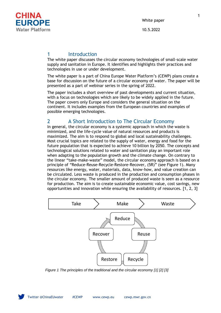

10.5.2022

# 1 Introduction

The white paper discusses the circular economy technologies of small-scale water supply and sanitation in Europe. It identifies and highlights their practices and technologies in use or under development.

The white paper is a part of China Europe Water Platform's (CEWP) plans create a base for discussion on the future of a circular economy of water. The paper will be presented as a part of webinar series in the spring of 2022.

The paper includes a short overview of past developments and current situation, with a focus on technologies which are likely to be widely applied in the future. The paper covers only Europe and considers the general situation on the continent. It includes examples from the European countries and examples of possible emerging technologies.

# 2 A Short Introduction to The Circular Economy

In general, the circular economy is a systemic approach in which the waste is minimized, and the life-cycle value of natural resources and products is maximized. The aim is to respond to global and local sustainability challenges. Most crucial topics are related to the supply of water, energy and food for the future population that is expected to achieve 10 billion by 2050. The concepts and technological solutions related to water and sanitation play an important role when adapting to the population growth and the climate change. On contrary to the linear "take-make-waste" model, the circular economy approach is based on a principle of "Reduce-Reuse-Recycle-Restore-Recover, (5R)" (see [Figure 1\)](#page-3-0). Many resources like energy, water, materials, data, know-how, and value creation can be circulated. Less waste is produced in the production and consumption phases in the circular economy. The smaller amount of produced waste is seen as a resource for production. The aim is to create sustainable economic value, cost savings, new opportunities and innovation while ensuring the availability of resources. [1, 2, 3]



<span id="page-3-0"></span>*Figure 1 The principles of the traditional and the circular economy [1] [2] [3]*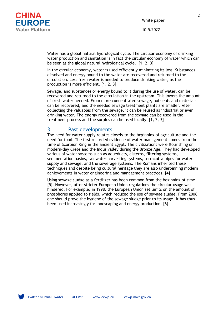

10.5.2022

Water has a global natural hydrological cycle. The circular economy of drinking water production and sanitation is in fact the circular economy of water which can be seen as the global natural hydrological cycle. [1, 2, 3]

In the circular economy, water is used efficiently minimizing its loss. Substances dissolved and energy bound to the water are recovered and returned to the circulation. Less fresh water is needed to produce drinking water, as the production is more efficient. [1, 2, 3]

Sewage, and substances or energy bound to it during the use of water, can be recovered and returned to the circulation in the upstream. This lowers the amount of fresh water needed. From more concentrated sewage, nutrients and materials can be recovered, and the needed sewage treatment plants are smaller. After collecting the valuables from the sewage, it can be reused as industrial or even drinking water. The energy recovered from the sewage can be used in the treatment process and the surplus can be used locally. [1, 2, 3]

# 3 Past developments

The need for water supply relates closely to the beginning of agriculture and the need for food. The first recorded evidence of water management comes from the time of Scorpion King in the ancient Egypt. The civilizations were flourishing on modern-day Crete and the Indus valley during the Bronze Age. They had developed various of water systems such as aqueducts, cisterns, filtering systems, sedimentation basins, rainwater harvesting systems, terracotta pipes for water supply and sewage, and the sewerage systems. The Romans inherited these techniques and despite being cultural heritage they are also underpinning modern achievements in water engineering and management practices. [4]

Using sewage sludge as a fertilizer has been common from the beginning of time [5]. However, after stricter European Union regulations the circular usage was hindered. For example, in 1998, the European Union set limits on the amount of phosphorus applied to fields, which reduced the use of sewage sludge. From 2006 one should prove the hygiene of the sewage sludge prior to its usage. It has thus been used increasingly for landscaping and energy production. [6]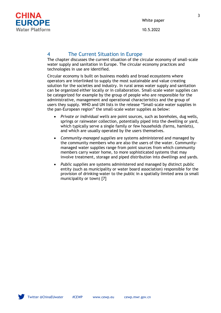

# 4 The Current Situation in Europe

The chapter discusses the current situation of the circular economy of small-scale water supply and sanitation in Europe. The circular economy practices and technologies in use are identified.

Circular economy is built on business models and broad ecosystems where operators are interlinked to supply the most sustainable and value creating solution for the societies and industry. In rural areas water supply and sanitation can be organized either locally or in collaboration. Small-scale water supplies can be categorized for example by the group of people who are responsible for the administrative, management and operational characteristics and the group of users they supply. WHO and UN lists in the release "Small-scale water supplies in the pan-European region" the small-scale water supplies as below:

- *Private or individual wells* are point sources, such as boreholes, dug wells, springs or rainwater collection, potentially piped into the dwelling or yard, which typically serve a single family or few households (farms, hamlets), and which are usually operated by the users themselves.
- *Community-managed supplies* are systems administered and managed by the community members who are also the users of the water. Communitymanaged water supplies range from point sources from which community members carry water home, to more sophisticated systems that may involve treatment, storage and piped distribution into dwellings and yards.
- *Public supplies* are systems administered and managed by distinct public entity (such as municipality or water board association) responsible for the provision of drinking-water to the public in a spatially limited area (a small municipality or town) [7]

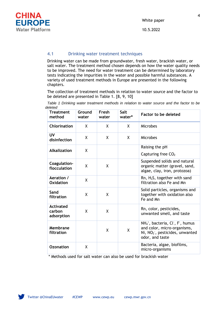

# 4.1 Drinking water treatment techniques

Drinking water can be made from groundwater, fresh water, brackish water, or salt water. The treatment method chosen depends on how the water quality needs to be improved. The need for water treatment can be determined by laboratory tests indicating the impurities in the water and possible harmful substances. A variety of used treatment methods in Europe are presented in the following chapters.

The collection of treatment methods in relation to water source and the factor to be deleted are presented in [Table 1.](#page-6-0) [8, 9, 10]

<span id="page-6-0"></span>*Table 1 Drinking water treatment methods in relation to water source and the factor to be deleted*

| <b>Treatment</b><br>method               | Ground<br>water | Fresh<br>water | <b>Salt</b><br>water* | <b>Factor to be deleted</b>                                                                                                                                                       |
|------------------------------------------|-----------------|----------------|-----------------------|-----------------------------------------------------------------------------------------------------------------------------------------------------------------------------------|
| <b>Chlorination</b>                      | X               | X              | X                     | Microbes                                                                                                                                                                          |
| <b>UV</b><br>disinfection                | X               | X              | X                     | Microbes                                                                                                                                                                          |
| <b>Alkalization</b>                      | X               |                |                       | Raising the pH                                                                                                                                                                    |
|                                          |                 |                |                       | Capturing free CO <sub>2</sub>                                                                                                                                                    |
| Coagulation-<br>flocculation             | X               | X              |                       | Suspended solids and natural<br>organic matter (gravel, sand,<br>algae, clay, iron, protozoa)                                                                                     |
| Aeration /<br>Oxidation                  | X               |                |                       | $Rn$ , $H_2S$ , together with sand<br>filtration also Fe and Mn                                                                                                                   |
| Sand<br>filtration                       | X               | X              |                       | Solid particles, organisms and<br>together with oxidation also<br>Fe and Mn                                                                                                       |
| <b>Activated</b><br>carbon<br>adsorption | X               | X              |                       | Rn, color, pesticides,<br>unwanted smell, and taste                                                                                                                               |
| Membrane<br>filtration                   |                 | X              | X                     | NH <sub>4</sub> <sup>+</sup> , bacteria, Cl <sup>-</sup> , F <sup>-</sup> , humus<br>and color, micro-organisms,<br>Ni, NO <sub>2</sub> , pesticides, unwanted<br>odor, and taste |
| <b>Ozonation</b>                         | X               |                |                       | Bacteria, algae, biofilms,<br>micro-organisms                                                                                                                                     |

\* Methods used for salt water can also be used for brackish water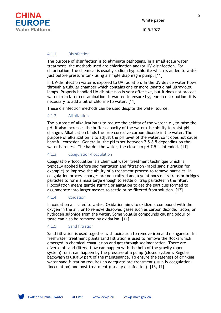

10.5.2022

#### 4.1.1 Disinfection

The purpose of disinfection is to eliminate pathogens. In a small-scale water treatment, the methods used are chlorination and/or UV-disinfection. For chlorination, the chemical is usually sodium hypochlorite which is added to water just before pressure tank using a simple diaphragm pump. [11]

In UV-disinfection water is exposed to UV radiation. In the UV device water flows through a tubular chamber which contains one or more longitudinal ultraviolet lamps. Properly handled UV disinfection is very effective, but it does not protect water from later contamination. If wanted to ensure hygiene in distribution, it is necessary to add a bit of chlorine to water. [11]

These disinfection methods can be used despite the water source.

## 4.1.2 Alkalization

The purpose of alkalization is to reduce the acidity of the water i.e., to raise the pH. It also increases the buffer capacity of the water (the ability to resist pH change). Alkalization binds the free corrosive carbon dioxide in the water. The purpose of alkalization is to adjust the pH level of the water, so it does not cause harmful corrosion. Generally, the pH is set between 7.5-8.5 depending on the water hardness. The harder the water, the closer to pH 7.5 is intended. [11]

# 4.1.3 Coagulation-flocculation

Coagulation-flocculation is a chemical water treatment technique which is typically applied before sedimentation and filtration (rapid sand filtration for example) to improve the ability of a treatment process to remove particles. In coagulation process charges are neutralized and a gelatinous mass traps or bridges particles to form a mass large enough to settle or trap particles in the filter. Flocculation means gentle stirring or agitation to get the particles formed to agglomerate into larger masses to settle or be filtered from solution. [12]

#### 4.1.4 Oxidation

In oxidation air is fed to water. Oxidation aims to oxidize a compound with the oxygen in the air, or to remove dissolved gases such as carbon dioxide, radon, or hydrogen sulphide from the water. Some volatile compounds causing odour or taste can also be removed by oxidation. [11]

## 4.1.5 Sand filtration

Sand filtration is used together with oxidation to remove iron and manganese. In freshwater treatment plants sand filtration is used to remove the flocks which emerged in chemical coagulation and got through sedimentation. There are diverse of sand filters, flow can happen with the help of the gravity (open system), or it can happen by the pressure of a pump (closed system). Regular backwash is usually part of the maintenance. To ensure the safeness of drinking water sand filtration requires an adequate pre-treatment (usually coagulationflocculation) and post-treatment (usually disinfection). [13, 11]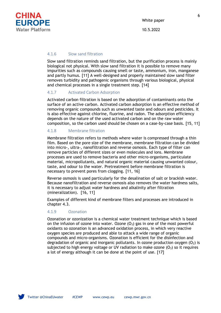

#### 4.1.6 Slow sand filtration

Slow sand filtration reminds sand filtration, but the purification process is mainly biological not physical. With slow sand filtration it is possible to remove many impurities such as compounds causing smell or taste, ammonium, iron, manganese and partly humus. [11] A well-designed and properly maintained slow sand filter removes turbidity and pathogenic organisms through various biological, physical and chemical processes in a single treatment step. [14]

#### 4.1.7 Activated Carbon Adsorption

Activated carbon filtration is based on the adsorption of contaminants onto the surface of an active carbon. Activated carbon adsorption is an effective method of removing organic compounds such as unwanted taste and odours and pesticides. It is also effective against chlorine, fluorine, and radon. The adsorption efficiency depends on the nature of the used activated carbon and on the raw water composition, so the carbon used should be chosen on a case-by-case basis. [15, 11]

## 4.1.8 Membrane filtration

Membrane filtration refers to methods where water is compressed through a thin film. Based on the pore size of the membrane, membrane filtration can be divided into micro-, ultra-, nanofiltration and reverse osmosis. Each type of filter can remove particles of different sizes or even molecules and ions. Membrane processes are used to remove bacteria and other micro-organisms, particulate material, micropollutants, and natural organic material causing unwanted colour, taste, and odour to the water. Pretreatment before membrane filtration is necessary to prevent pores from clogging. [11, 16]

Reverse osmosis is used particularly for the desalination of salt or brackish water. Because nanofiltration and reverse osmosis also removes the water hardness salts, it is necessary to adjust water hardness and alkalinity after filtration (mineralization). [16, 11]

Examples of different kind of membrane filters and processes are introduced in chapter 4.3.

#### 4.1.9 Ozonation

Ozonation or ozonization is a chemical water treatment technique which is based on the infusion of ozone into water. Ozone  $(O_3)$  gas in one of the most powerful oxidants so ozonation is an advanced oxidation process, in which very reactive oxygen species are produced and able to attack a wide range of organic compounds and micro-organisms. Ozonation is efficient for the disinfection and degradation of organic and inorganic pollutants. In ozone production oxygen  $(O_2)$  is subjected to high energy voltage or UV radiation to make ozone  $(0<sub>3</sub>)$  so it requires a lot of energy although it can be done at the point of use. [17]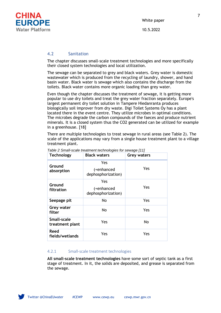

## 4.2 Sanitation

The chapter discusses small-scale treatment technologies and more specifically their closed system technologies and local utilization.

The sewage can be separated to grey and black waters. Grey water is domestic wastewater which is produced from the recycling of laundry, shower, and hand basin water. Black water is sewage which also contains the discharge from the toilets. Black water contains more organic loading than grey water.

Even though the chapter discusses the treatment of sewage, it is getting more popular to use dry toilets and treat the grey water fraction separately. Europe's largest permanent dry toilet solution in Tampere Hiedanranta produces biologically soil improver from dry waste. Digi Toilet Systems Oy has a plant located there in the event centre. They utilize microbes in optimal conditions. The microbes degrade the carbon compounds of the faeces and produce nutrient minerals. It is a closed system thus the CO2 generated can be utilized for example in a greenhouse. [18]

There are multiple technologies to treat sewage in rural areas (see [Table 2\)](#page-9-0). The scale of the applications may vary from a single house treatment plant to a village treatment plant.

| <b>Technology</b>                     | <b>Black waters</b>                     | <b>Grey waters</b> |  |
|---------------------------------------|-----------------------------------------|--------------------|--|
| Ground<br>absorption                  | Yes<br>(+enhanced<br>dephosphorization) | Yes                |  |
| Ground<br>filtration                  | Yes<br>(+enhanced<br>dephosphorization) | Yes                |  |
| Seepage pit                           | No                                      | Yes                |  |
| Grey water<br>filter                  | No                                      | Yes                |  |
| <b>Small-scale</b><br>treatment plant | Yes                                     | No                 |  |
| Reed<br>fields/wetlands               | Yes                                     | Yes                |  |

<span id="page-9-0"></span>*Table 2 Small-scale treatment technologies for sewage [11]*

# 4.2.1 Small-scale treatment technologies

**All small-scale treatment technologies** have some sort of septic tank as a first stage of treatment. In it, the solids are deposited, and grease is separated from the sewage.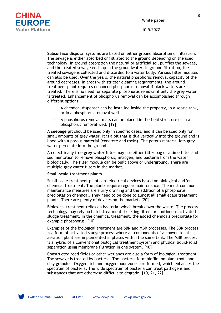

10.5.2022



**Subsurface disposal systems** are based on either ground absorption or filtration. The sewage is either absorbed or filtrated to the ground depending on the used technology. In ground absorption the natural or artificial soil purifies the sewage, and the treated sewage ends up in the groundwater. In ground filtration, the treated sewage is collected and discarded to a water body. Various filter modules can also be used. Over the years, the natural phosphorus removal capacity of the ground decreases. In areas with stricter cleaning requirements, the ground treatment plant requires enhanced phosphorus removal if black waters are treated. There is no need for separate phosphorus removal if only the grey water is treated. Enhancement of phosphorus removal can be accomplished through different options:

- A chemical dispenser can be installed inside the property, in a septic tank, or in a phosphorus removal well
- A phosphorus removal mass can be placed in the field structure or in a phosphorus removal well. [19]

**A seepage pit** should be used only in specific cases, and it can be used only for small amounts of grey water. It is a pit that is dug vertically into the ground and is lined with a porous material (concrete and rocks). The porous material lets grey water percolate into the ground.

An electrically free **grey water filter** may use either filter bag or a lime filter and sedimentation to remove phosphorus, nitrogen, and bacteria from the water biologically. The filter module can be built above or underground. There are multiple grey water filters in the market.

#### **Small-scale treatment plants**

Small-scale treatment plants are electrical devices based on biological and/or chemical treatment. The plants require regular maintenance. The most common maintenance measures are slurry draining and the addition of a phosphorus precipitation chemical. They need to be done to almost all small-scale treatment plants. There are plenty of devices on the market. [20]

Biological treatment relies on bacteria, which break down the waste. The process technology may rely on batch treatment, trickling filters or continuous activated sludge treatment. In the chemical treatment, the added chemicals precipitate for example phosphorus. [10]

Examples of the biological treatment are SBR and MBR processes. The SBR process is a form of activated sludge process where all components of a conventional aeration plant are implemented in phases within the same tank. The MBR process is a hybrid of a conventional biological treatment system and physical liquid–solid separation using membrane filtration in one system. [10]

Constructed reed fields or other wetlands are also a form of biological treatment. The sewage is treated by bacteria. The bacteria form biofilm on plant roots and clay granules. Oxygen rich and oxygen poor zones are formed, which enhances the spectrum of bacteria. The wide spectrum of bacteria can treat pathogens and substances that are otherwise difficult to degrade. [10, 21, 22]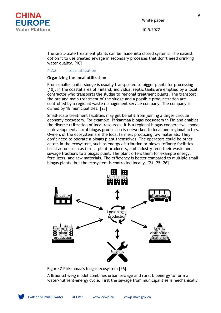

10.5.2022

The small-scale treatment plants can be made into closed systems. The easiest option it to use treated sewage in secondary processes that don't need drinking water quality. [10]

# 4.2.2 Local utilization

# **Organizing the local utilization**

From smaller units, sludge is usually transported to bigger plants for processing [10]. In the coastal area of Finland, individual septic tanks are emptied by a local contractor who transports the sludge to regional treatment plants. The transport, the pre and main treatment of the sludge and a possible productization are controlled by a regional waste management service company. The company is owned by 18 municipalities. [23]

Small-scale treatment facilities may get benefit from joining a larger circular economy ecosystem. For example, Pirkanmaa biogas ecosystem in Finland enables the diverse utilization of local resources. It is a regional biogas cooperative -model in development. Local biogas production is networked to local and regional actors. Owners of the ecosystem are the local farmers producing raw materials. They don't need to operate a biogas plant themselves. The operators could be other actors in the ecosystem, such as energy distribution or biogas refinery facilities. Local actors such as farms, plant producers, and industry feed their waste and sewage fractions to a biogas plant. The plant offers them for example energy, fertilizers, and raw materials. The efficiency is better compared to multiple small biogas plants, but the ecosystem is controlled locally. [24, 25, 26]



Figure 2 Pirkanmaa's biogas ecosystem [26].

A Braunschweig model combines urban sewage and rural bioenergy to form a water-nutrient-energy cycle. First the sewage from municipalities is mechanically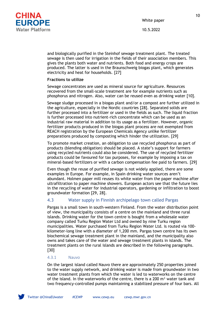

10.5.2022

and biologically purified in the Steinhof sewage treatment plant. The treated sewage is then used for irrigation in the fields of their association members. This gives the plants both water and nutrients. Both food and energy crops are produced. The latter is used in the Braunschweig biogas plant, which generates electricity and heat for households. [27]

# **Fractions to utilize**

Sewage concentrates are used as mineral source for agriculture. Resources recovered from the small-scale treatment are for example nutrients such as phosphorus and nitrogen. Also, water can be reused even as drinking water [10].

Sewage sludge processed in a biogas plant and/or a compost are further utilized in the agriculture, especially in the Nordic countries [28]. Separated solids are further processed into a fertilizer or used in the fields as such. The liquid fraction is further processed into nutrient-rich concentrate which can be used as an industrial raw material in addition to its usage as a fertilizer. However, organic fertilizer products produced in the biogas plant process are not exempted from REACH registration by the European Chemicals Agency unlike fertilizer preparations produced by composting which hinder the utilization. [29]

To promote market creation, an obligation to use recycled phosphorus as part of products (blending obligation) should be placed. A state's support for farmers using recycled nutrients could also be considered. The use of recycled fertilizer products could be favoured for tax purposes, for example by imposing a tax on mineral-based fertilizers or with a carbon compensation fee paid to farmers. [29]

Even though the reuse of purified sewage is not widely applied, there are some examples in Europe. For example, in Spain drinking water sources aren't abundant. Holmen paper mill reuses its white water from the paper machine after ultrafiltration to paper machine showers. European actors see that the future lies in the recycling of water for industrial operators, gardening or infiltration to boost groundwater formation [29, 28].

# 4.3 Water supply in Finnish archipelago town called Pargas

Pargas is a small town in south-western Finland. From the water distribution point of view, the municipality consists of a centre on the mainland and three rural islands. Drinking water for the town centre is bought from a wholesale water company called Turku Region Water Ltd and owned by nine Turku region municipalities. Water purchased from Turku Region Water Ltd. is routed via 100 kilometer-long line with a diameter of 1,200 mm. Pargas town centre has its own biochemical sewage treatment plant in the mainland, and the municipality also owns and takes care of the water and sewage treatment plants in islands. The treatment plants on the rural islands are described in the following paragraphs. [30]

#### 4.3.1 Nauvo

On the largest island called Nauvo there are approximately 250 properties joined to the water supply network, and drinking water is made from groundwater in two water treatment plants from which the water is led to waterworks on the centre of the island. In the waterworks of the centre, there is a 200  $\text{m}^3$  water tank and two frequency-controlled pumps maintaining a stabilized pressure of four bars. All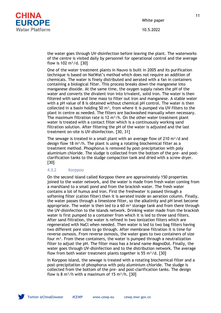

10.5.2022

the water goes through UV-disinfection before leaving the plant. The waterworks of the centre is visited daily by personnel for operational control and the average flow is 102  $m^3/d$ . [30]

One of the water treatment plants in Nauvo is built in 2005 and its purification technique is based on NatWat's method which does not require an addition of chemicals. The water is finely distributed and aerated with a fan in containers containing a biological filter. This process breaks down the manganese into manganese dioxide. At the same time, the oxygen supply raises the pH of the water and converts the divalent iron into trivalent, solid iron. The water is then filtered with sand and lime mass to filter out iron and manganese. A stable water with a pH value of 8 is obtained without chemical pH control. The water is then collected in a basin holding 50  $m<sup>3</sup>$ , from where it is pumped via UV-filters to the plant in centre as needed. The filters are backwashed manually when necessary. The maximum filtration rate is 12  $m^3/h$ . On the other water treatment plant water is treated with a contact filter which is a continuously working sand filtration solution. After filtering the pH of the water is adjusted and the last treatment on-site is UV-disinfection. [30, 31]

The sewage is treated in a small plant with an average flow of 210  $\text{m}^3/\text{d}$  and design flow 18  $m^3/h$ . The plant is using a rotating biochemical filter as a treatment method. Phosphorus is removed by post-precipitation with poly aluminium chloride. The sludge is collected from the bottom of the pre- and postclarification tanks to the sludge compaction tank and dried with a screw dryer. [30]

## 4.3.2 Korppoo

On the second island called Korppoo there are approximately 150 properties joined to the water network, and the water is made from fresh water coming from a marshland to a small pond and from the brackish water. The fresh water contains a lot of humus and iron. First the freshwater is passed through a softening filter (cation filter) then it is aerated inside an aeration column. Finally, the water passes through a limestone filter, so the alkalinity and pH level become appropriate. The water is then led to a  $60 \text{ m}^3$  storage tank and from there through the UV-disinfection to the islands network. Drinking water made from the brackish water is first pumped to a container from which it is led to three sand filters. After sand filtration, the water is refined in two ionization filters which are regenerated with NaCl when needed. Then water is led to two bag filters having two different pore sizes to go through. After membrane filtration it is time for reverse osmosis. From reverse osmosis, the water goes to two containers of size four  $m<sup>3</sup>$ . From these containers, the water is pumped through a neutralization filter to adjust the pH. The filter mass has a brand name MagnoDol. Finally, the water goes through UV-disinfection and to the distribution network. The average flow from both water treatment plants together is 55 m<sup>3</sup>/d. [30]

In Korppoo island, the sewage is treated with a rotating biochemical filter and a post-precipitation of phosphorus with poly aluminium chloride. The sludge is collected from the bottom of the pre- and post-clarification tanks. The design flow is 8 m<sup>3</sup>/h with a maximum of 15 m<sup>3</sup>/h. [30]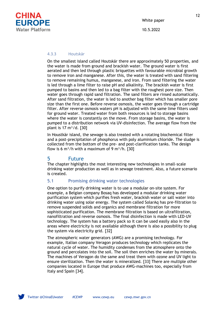

#### 4.3.3 Houtskär

On the smallest island called Houtskär there are approximately 50 properties, and the water is made from ground and brackish water. The ground water is first aerated and then led through plastic briquettes with favourable microbial growth to remove iron and manganese. After this, the water is treated with sand filtering to remove remaining humus, manganese, and iron. From sand filtering the water is led through a lime filter to raise pH and alkalinity. The brackish water is first pumped to basins and then led to a bag filter with the roughest pore size. Then water goes through rapid sand filtration. The sand filters are rinsed automatically. After sand filtration, the water is led to another bag filter which has smaller pore size than the first one. Before reverse osmosis, the water goes through a cartridge filter. After reverse osmosis waters pH is adjusted with the same lime filters used for ground water. Treated water from both resources is led to storage basins where the water is constantly on the move. From storage basins, the water is pumped to a distribution network via UV-disinfection. The average flow from the plant is  $17 \text{ m}^3/\text{d}$ . [30]

In Houstkär island, the sewage is also treated with a rotating biochemical filter and a post-precipitation of phosphorus with poly aluminium chloride. The sludge is collected from the bottom of the pre- and post-clarification tanks. The design flow is 6 m<sup>3</sup>/h with a maximum of 9 m<sup>3</sup>/h. [30]

# 5 Future

The chapter highlights the most interesting new technologies in small-scale drinking water production as well as in sewage treatment. Also, a future scenario is created.

## 5.1 Promising drinking water technologies

One option to purify drinking water is to use a modular on-site system. For example, a Belgian company Bosaq has developed a modular drinking water purification system which purifies fresh water, brackish water or salt water into drinking water using solar energy. The system called SolarAq has pre-filtration to remove suspended solids and organics and membrane filtration for more sophisticated purification. The membrane filtration is based on ultrafiltration, nanofiltration and reverse osmosis. The final disinfection is made with LED-UV technology. The system has a battery pack so it can be used easily also in the areas where electricity is not available although there is also a possibility to plug the system via electricity grid. [32]

The atmospheric water generators (AWG) are a promising technology. For example, Italian company Veragon produces technology which replicates the natural cycle of water. The humidity condenses from the atmosphere onto the ground and percolates into the soil. The soil then enriches the water by minerals. The machines of Veragon do the same and treat them with ozone and UV light to ensure sterilization. Then the water is mineralized*.* [33] There are multiple other companies located in Europe that produce AWG-machines too, especially from Italy and Spain [34].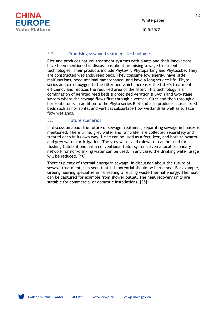

10.5.2022

# 5.2 Promising sewage treatment technologies

Rietland produces natural treatment systems with plants and their innovations have been mentioned in discussions about promising sewage treatment technologies. Their products include PhytoAir, Phytoparking and Phytocube. They are constructed wetlands/reed beds. They consume low energy, have little malfunctions, need minimal maintenance, and have a long service life. Phytoseries add extra oxygen to the filter bed which increases the filter's treatment efficiency and reduces the required area of the filter. This technology is a combination of aerated reed beds (Forced Bed Aeration (FBA®)) and two-stage system where the sewage flows first through a vertical filter and then through a horizontal one. In addition to the Phyto series Rietland also produces classic reed beds such as horizontal and vertical subsurface flow wetlands as well as surface flow wetlands.

# 5.3 Future scenarios

In discussion about the future of sewage treatment, separating sewage in houses is mentioned. There urine, grey water and rainwater are collected separately and treated each in its own way. Urine can be used as a fertilizer, and both rainwater and grey water for irrigation. The grey water and rainwater can be used for flushing toilets if one has a conventional toilet system. Even a local secondary network for non-drinking water can be used. In any case, the drinking water usage will be reduced. [10]

There is plenty of thermal energy in sewage. In discussion about the future of sewage treatment, it is seen that this potential should be harnessed. For example, Greengineering specialize in harvesting & reusing waste thermal energy. The heat can be captured for example from shower outlet. The heat recovery units are suitable for commercial or domestic installations. [35]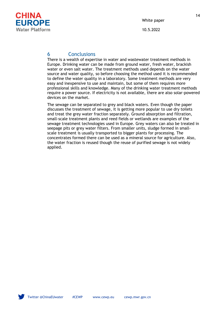

# 6 Conclusions

There is a wealth of expertise in water and wastewater treatment methods in Europe. Drinking water can be made from ground water, fresh water, brackish water or even salt water. The treatment methods used depends on the water source and water quality, so before choosing the method used it is recommended to define the water quality in a laboratory. Some treatment methods are very easy and inexpensive to use and maintain, but some of them requires more professional skills and knowledge. Many of the drinking water treatment methods require a power source. If electricity is not available, there are also solar-powered devices on the market.

The sewage can be separated to grey and black waters. Even though the paper discusses the treatment of sewage, it is getting more popular to use dry toilets and treat the grey water fraction separately. Ground absorption and filtration, small-scale treatment plants and reed fields or wetlands are examples of the sewage treatment technologies used in Europe. Grey waters can also be treated in seepage pits or grey water filters. From smaller units, sludge formed in smallscale treatment is usually transported to bigger plants for processing. The concentrates formed there can be used as a mineral source for agriculture. Also, the water fraction is reused though the reuse of purified sewage is not widely applied.

14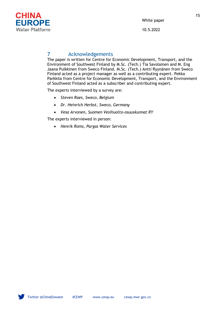

10.5.2022

# 7 Acknowledgements

The paper is written for Centre for Economic Development, Transport, and the Environment of Southwest Finland by M.Sc. (Tech.) Tia Savolainen and M. Eng Jaana Pulkkinen from Sweco Finland. M.Sc. (Tech.) Antti Ryynänen from Sweco Finland acted as a project manager as well as a contributing expert. Pekka Parkkila from Centre for Economic Development, Transport, and the Environment of Southwest Finland acted as a subscriber and contributing expert.

The experts interviewed by a survey are:

- *Steven Raes, Sweco, Belgium*
- *Dr. Heinrich Herbst, Sweco, Germany*
- *Vesa Arvonen, Suomen Vesihuolto-osuuskunnat RY*

The experts interviewed in person:

• *Henrik Roms, Pargas Water Services*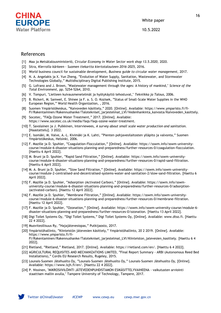

10.5.2022

# References

- [1] Maa ja Metsätalousministeriö, *Circular Economy in Water Sector work shop 13.5.2020,* 2020.
- [2] Sitra, *Kierrolla kärkeen - Suomen tiekartta kiertotalouteen 2016-2025,* 2016.
- [3] World business council for sustainable development, *Business guide to circular water management,* 2017.
- [4] N. A. Angelakis ja X. Yun Zheng, "Evolution of Water Supply, Sanitation, Wastewater, and Stormwater Technologies Globally," Multidisciplinary Digital Publishing Institute, 2015.
- [5] G. Lofrano and J. Brown, "Wastewater management through the ages: A history of mankind," *Science of the Total Environment,* pp. 5254-5264, 2010.
- [6] V. Tompuri, "Lietteen kuivausmenetelmät ja hyötykäyttö tehostuvat," *Tekniikka ja Talous,* 2006.
- [7] B. Rickert, M. Samwel, E. Shinee ja F. a. S. O. Kozisek, "Status of Small-Scale Water Supplies in the WHO European Region," World Health Organization, , 2016.
- [8] Suomen Ympäristökeskus, "Kaivoveden käsittely," 2020. [Online]. Available: https://www.ymparisto.fi/fi-FI/Rakentaminen/Rakennushanke/Talotekniset\_jarjestelmat\_LVI/Vedenhankinta\_kaivosta/Kaivoveden\_kasittely.
- [9] Socotec, "FAQs Ozone Water Treatment," 2017. [Online]. Available: https://www.socotec.co.uk/media/faqs/faqs-ozone-water-treatment.
- [10] T. Savolainen ja J. Pulkkinen, Interviewees, *A survey about small scale water production and sanitation.*  [Haastattelu]. 3 2022.
- [11] E. Isomäki, M. Valve, A.-L. Kivimäki ja K. Lahti, "Pienten pohjavesilaitosten ylläpito ja valvonta," Suomen Ympäristökeskus, Helsinki, 2006.
- [12] F. Mazille ja D. Spuhler, "Coagulation-Flocculation," [Online]. Available: https://sswm.info/sswm-universitycourse/module-6-disaster-situations-planning-and-preparedness/further-resources-0/coagulation-flocculation. [Haettu 6 April 2022].
- [13] M. Bruni ja D. Spuhler, "Rapid Sand Filtration," [Online]. Available: https://sswm.info/sswm-universitycourse/module-6-disaster-situations-planning-and-preparedness/further-resources-0/rapid-sand-filtration. [Haettu 6 April 2022].
- [14] M. A. Bruni ja D. Spuhler, "Slow Sand Filtration," [Online]. Available: https://sswm.info/sswm-universitycourse/module-2-centralised-and-decentralised-systems-water-and-sanitation-2/slow-sand-filtration. [Haettu 6 April 2022].
- [15] F. Mazille ja D. Spuhler, "Adsorption (Activated Carbon)," [Online]. Available: https://sswm.info/sswmuniversity-course/module-6-disaster-situations-planning-and-preparedness/further-resources-0/adsorption- (activated-carbon). [Haettu 12 April 2022].
- [16] F. Mazille ja D. Spuhler, "Membrane Filtration," [Online]. Available: https://sswm.info/sswm-universitycourse/module-6-disaster-situations-planning-and-preparedness/further-resources-0/membrane-filtration. [Haettu 12 April 2022].
- [17] F. Mazille ja D. Spuhler, "Ozonation," [Online]. Available: https://sswm.info/sswm-university-course/module-6 disaster-situations-planning-and-preparedness/further-resources-0/ozonation. [Haettu 13 April 2022].
- [18] Digi Toilet Systems Oy, "Digi Toilet Systems," Digi Toilet Systems Oy, [Online]. Available: www.dtso.fi. [Haettu 22 4 2022].
- [19] Muoviteollisuus Ry, "Hajajätevesiopas," Putkijaosto, 2017.
- [20] Ympäristöhallinto, "Kiinteistön jätevesien käsittely," Ympäristöhallinto, 20 2 2019. [Online]. Available: https://www.ymparisto.fi/fi-FI/Rakentaminen/Rakennushanke/Talotekniset\_jarjestelmat\_LVI/Kiinteiston\_jatevesien\_kasittely. [Haettu 6 4 2022].
- [21] Rietland, "Rietland," Rietland, 2017. [Online]. Available: https://rietland.com/en/. [Haettu 6 4 2022].
- [22] AGRICULTURAL REQUISITES AND MECHANIZATIONS LIMITED, "Final Report Summary ARBI (Autonomous Reed Bed Installations)," Cordis EU Research Results, Rugeley, 2015.
- [23] Lounais-Suomen Jätehuolto Oy, "Lounais-Suomen Jätehuolto Oy," Lounais-Suomen Jätehuolto Oy, [Online]. Available: https://www.lsjh.fi/en/. [Haettu 22 4 2022].
- [24] P. Nissinen, "MIKROSIIVILÖINTI JÄTEVEDENPUHDISTAMON ESIKÄSITTELYVAIHEENA vaikutusten arviointi staattisen mallin avulla," Tampere University of Technology, Tampere, 2017.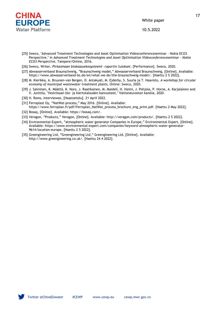

10.5.2022

- [25] Sweco, "Advanced Treatment Technologies and Asset Optimisation Videoconferenceseminar Nokia ECO3 Perspective," in *Advanced Treatment Technologies and Asset Optimisation Videoconferenceseminar - Nokia ECO3 Perspective*, Tampere/Online, 2016.
- [26] Sweco, Writer, *Pirkanmaan biokaasuekosysteemi -raportin tulokset.* [Performance]. Sweco, 2020.
- [27] Abwasserverband Braunschweig, "Braunschweig model," Abwasserverband Braunschweig, [Online]. Available: https://www.abwasserverband-bs.de/en/what-we-do/the-braunschweig-model/. [Haettu 2 5 2022].
- [28] M. Kierikka, A. Bruunen-van Bergen, D. Antakyali, M. Ejderby, S. Suurla ja T. Haavisto, *A workshop for circular economy of municipal wastewater treatment plants,* Online: Sweco, 2020.
- [29] J. Salminen, K. Määttä, K. Noro, J. Raatikainen, M. Maidell, H. Haimi, J. Pohjola, P. Horne, A. Karjalainen and V. Junttila, "Vesiviisaan bio- ja kiertotalouden kannusteet," Valtioneuvoston kanslia, 2020.
- [30] H. Roms, Interviewee, [Haastattelu]. 21 April 2022.
- [31] Ferroplast Oy, "NatWat-process," May 2016. [Online]. Available: https://www.ferroplan.fi/pdf/Ferroplan\_NatWat\_process\_brochure\_eng\_print.pdf. [Haettu 2 May 2022].
- [32] Bosaq, [Online]. Available: https://bosaq.com/.
- [33] Veragon, "Products," Veragon, [Online]. Available: http://veragon.com/products/. [Haettu 2 5 2022].
- [34] Environmental-Expert, "atmospheric water generator Companies in Europe," Environmental-Expert, [Online]. Available: https://www.environmental-expert.com/companies/keyword-atmospheric-water-generator-9614/location-europe. [Haettu 2 5 2022].
- [35] Greengineering Ltd, "Greengineering Ltd," Greengineering Ltd, [Online]. Available: http://www.greengineering.co.uk/. [Haettu 24 4 2022].